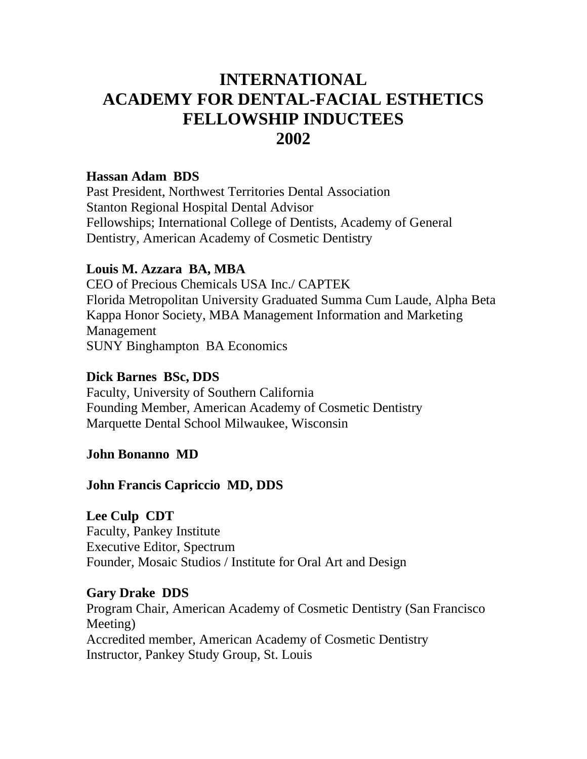# **INTERNATIONAL ACADEMY FOR DENTAL-FACIAL ESTHETICS FELLOWSHIP INDUCTEES 2002**

#### **Hassan Adam BDS**

Past President, Northwest Territories Dental Association Stanton Regional Hospital Dental Advisor Fellowships; International College of Dentists, Academy of General Dentistry, American Academy of Cosmetic Dentistry

#### **Louis M. Azzara BA, MBA**

CEO of Precious Chemicals USA Inc./ CAPTEK Florida Metropolitan University Graduated Summa Cum Laude, Alpha Beta Kappa Honor Society, MBA Management Information and Marketing Management SUNY Binghampton BA Economics

#### **Dick Barnes BSc, DDS**

Faculty, University of Southern California Founding Member, American Academy of Cosmetic Dentistry Marquette Dental School Milwaukee, Wisconsin

#### **John Bonanno MD**

#### **John Francis Capriccio MD, DDS**

**Lee Culp CDT** Faculty, Pankey Institute Executive Editor, Spectrum Founder, Mosaic Studios / Institute for Oral Art and Design

#### **Gary Drake DDS**

Program Chair, American Academy of Cosmetic Dentistry (San Francisco Meeting) Accredited member, American Academy of Cosmetic Dentistry Instructor, Pankey Study Group, St. Louis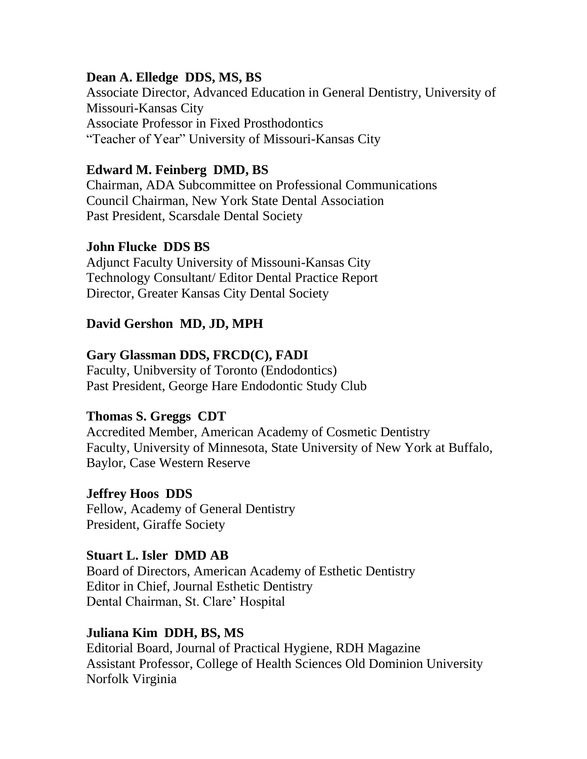## **Dean A. Elledge DDS, MS, BS**

Associate Director, Advanced Education in General Dentistry, University of Missouri-Kansas City Associate Professor in Fixed Prosthodontics "Teacher of Year" University of Missouri-Kansas City

## **Edward M. Feinberg DMD, BS**

Chairman, ADA Subcommittee on Professional Communications Council Chairman, New York State Dental Association Past President, Scarsdale Dental Society

## **John Flucke DDS BS**

Adjunct Faculty University of Missouni-Kansas City Technology Consultant/ Editor Dental Practice Report Director, Greater Kansas City Dental Society

## **David Gershon MD, JD, MPH**

## **Gary Glassman DDS, FRCD(C), FADI**

Faculty, Unibversity of Toronto (Endodontics) Past President, George Hare Endodontic Study Club

## **Thomas S. Greggs CDT**

Accredited Member, American Academy of Cosmetic Dentistry Faculty, University of Minnesota, State University of New York at Buffalo, Baylor, Case Western Reserve

## **Jeffrey Hoos DDS**

Fellow, Academy of General Dentistry President, Giraffe Society

## **Stuart L. Isler DMD AB**

Board of Directors, American Academy of Esthetic Dentistry Editor in Chief, Journal Esthetic Dentistry Dental Chairman, St. Clare' Hospital

## **Juliana Kim DDH, BS, MS**

Editorial Board, Journal of Practical Hygiene, RDH Magazine Assistant Professor, College of Health Sciences Old Dominion University Norfolk Virginia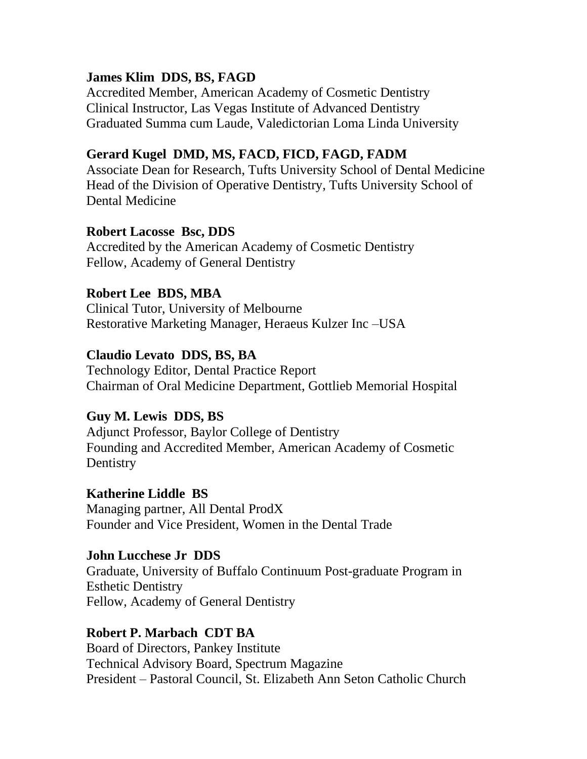## **James Klim DDS, BS, FAGD**

Accredited Member, American Academy of Cosmetic Dentistry Clinical Instructor, Las Vegas Institute of Advanced Dentistry Graduated Summa cum Laude, Valedictorian Loma Linda University

#### **Gerard Kugel DMD, MS, FACD, FICD, FAGD, FADM**

Associate Dean for Research, Tufts University School of Dental Medicine Head of the Division of Operative Dentistry, Tufts University School of Dental Medicine

#### **Robert Lacosse Bsc, DDS**

Accredited by the American Academy of Cosmetic Dentistry Fellow, Academy of General Dentistry

## **Robert Lee BDS, MBA**

Clinical Tutor, University of Melbourne Restorative Marketing Manager, Heraeus Kulzer Inc –USA

## **Claudio Levato DDS, BS, BA**

Technology Editor, Dental Practice Report Chairman of Oral Medicine Department, Gottlieb Memorial Hospital

#### **Guy M. Lewis DDS, BS**

Adjunct Professor, Baylor College of Dentistry Founding and Accredited Member, American Academy of Cosmetic **Dentistry** 

#### **Katherine Liddle BS**

Managing partner, All Dental ProdX Founder and Vice President, Women in the Dental Trade

#### **John Lucchese Jr DDS**

Graduate, University of Buffalo Continuum Post-graduate Program in Esthetic Dentistry Fellow, Academy of General Dentistry

#### **Robert P. Marbach CDT BA**

Board of Directors, Pankey Institute Technical Advisory Board, Spectrum Magazine President – Pastoral Council, St. Elizabeth Ann Seton Catholic Church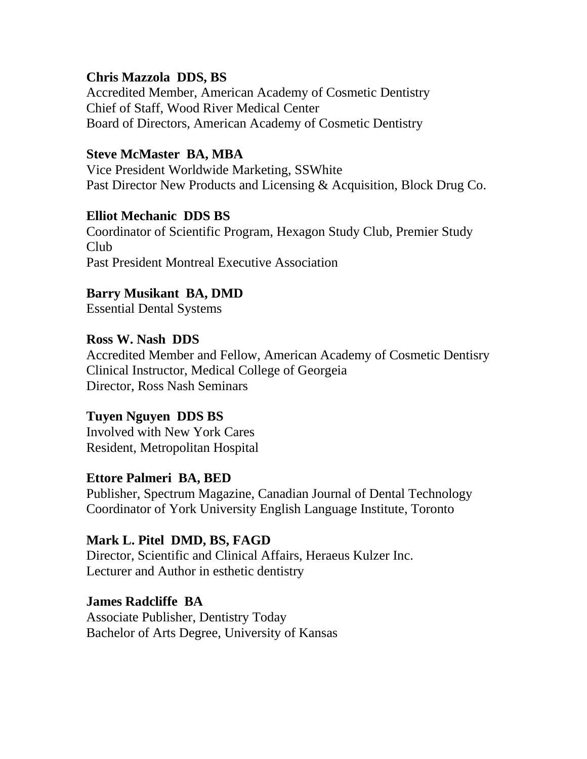#### **Chris Mazzola DDS, BS**

Accredited Member, American Academy of Cosmetic Dentistry Chief of Staff, Wood River Medical Center Board of Directors, American Academy of Cosmetic Dentistry

## **Steve McMaster BA, MBA**

Vice President Worldwide Marketing, SSWhite Past Director New Products and Licensing & Acquisition, Block Drug Co.

#### **Elliot Mechanic DDS BS**

Coordinator of Scientific Program, Hexagon Study Club, Premier Study Club Past President Montreal Executive Association

## **Barry Musikant BA, DMD**

Essential Dental Systems

#### **Ross W. Nash DDS**  Accredited Member and Fellow, American Academy of Cosmetic Dentisry Clinical Instructor, Medical College of Georgeia Director, Ross Nash Seminars

## **Tuyen Nguyen DDS BS**

Involved with New York Cares Resident, Metropolitan Hospital

## **Ettore Palmeri BA, BED**

Publisher, Spectrum Magazine, Canadian Journal of Dental Technology Coordinator of York University English Language Institute, Toronto

#### **Mark L. Pitel DMD, BS, FAGD**

Director, Scientific and Clinical Affairs, Heraeus Kulzer Inc. Lecturer and Author in esthetic dentistry

## **James Radcliffe BA** Associate Publisher, Dentistry Today

Bachelor of Arts Degree, University of Kansas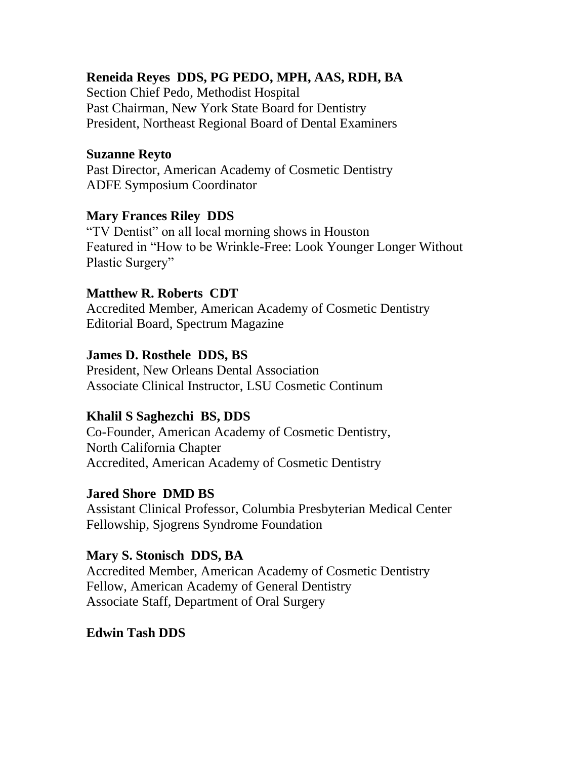## **Reneida Reyes DDS, PG PEDO, MPH, AAS, RDH, BA**

Section Chief Pedo, Methodist Hospital Past Chairman, New York State Board for Dentistry President, Northeast Regional Board of Dental Examiners

#### **Suzanne Reyto**

Past Director, American Academy of Cosmetic Dentistry ADFE Symposium Coordinator

#### **Mary Frances Riley DDS**

"TV Dentist" on all local morning shows in Houston Featured in "How to be Wrinkle-Free: Look Younger Longer Without Plastic Surgery"

#### **Matthew R. Roberts CDT**

Accredited Member, American Academy of Cosmetic Dentistry Editorial Board, Spectrum Magazine

#### **James D. Rosthele DDS, BS**

President, New Orleans Dental Association Associate Clinical Instructor, LSU Cosmetic Continum

#### **Khalil S Saghezchi BS, DDS**

Co-Founder, American Academy of Cosmetic Dentistry, North California Chapter Accredited, American Academy of Cosmetic Dentistry

#### **Jared Shore DMD BS**

Assistant Clinical Professor, Columbia Presbyterian Medical Center Fellowship, Sjogrens Syndrome Foundation

#### **Mary S. Stonisch DDS, BA**

Accredited Member, American Academy of Cosmetic Dentistry Fellow, American Academy of General Dentistry Associate Staff, Department of Oral Surgery

#### **Edwin Tash DDS**